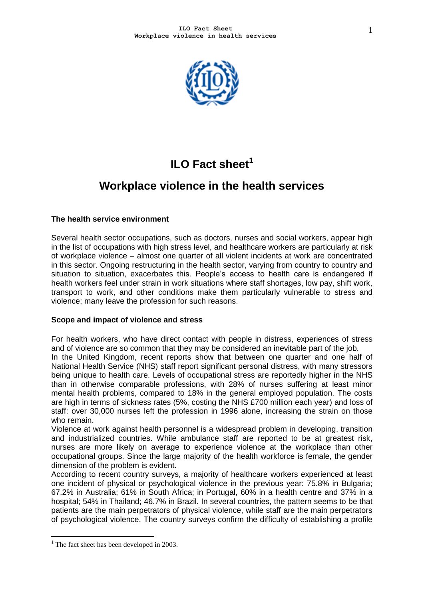

# **ILO Fact sheet<sup>1</sup>**

## **Workplace violence in the health services**

### **The health service environment**

Several health sector occupations, such as doctors, nurses and social workers, appear high in the list of occupations with high stress level, and healthcare workers are particularly at risk of workplace violence – almost one quarter of all violent incidents at work are concentrated in this sector. Ongoing restructuring in the health sector, varying from country to country and situation to situation, exacerbates this. People's access to health care is endangered if health workers feel under strain in work situations where staff shortages, low pay, shift work, transport to work, and other conditions make them particularly vulnerable to stress and violence; many leave the profession for such reasons.

#### **Scope and impact of violence and stress**

For health workers, who have direct contact with people in distress, experiences of stress and of violence are so common that they may be considered an inevitable part of the job. In the United Kingdom, recent reports show that between one quarter and one half of National Health Service (NHS) staff report significant personal distress, with many stressors being unique to health care. Levels of occupational stress are reportedly higher in the NHS than in otherwise comparable professions, with 28% of nurses suffering at least minor mental health problems, compared to 18% in the general employed population. The costs are high in terms of sickness rates (5%, costing the NHS £700 million each year) and loss of staff: over 30,000 nurses left the profession in 1996 alone, increasing the strain on those who remain.

Violence at work against health personnel is a widespread problem in developing, transition and industrialized countries. While ambulance staff are reported to be at greatest risk, nurses are more likely on average to experience violence at the workplace than other occupational groups. Since the large majority of the health workforce is female, the gender dimension of the problem is evident.

According to recent country surveys, a majority of healthcare workers experienced at least one incident of physical or psychological violence in the previous year: 75.8% in Bulgaria; 67.2% in Australia; 61% in South Africa; in Portugal, 60% in a health centre and 37% in a hospital; 54% in Thailand; 46.7% in Brazil. In several countries, the pattern seems to be that patients are the main perpetrators of physical violence, while staff are the main perpetrators of psychological violence. The country surveys confirm the difficulty of establishing a profile

1

 $<sup>1</sup>$  The fact sheet has been developed in 2003.</sup>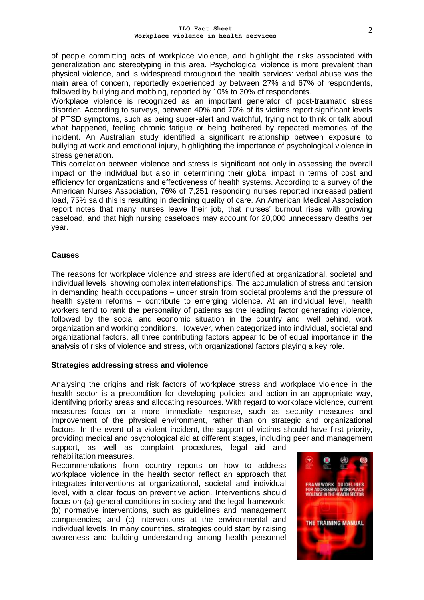of people committing acts of workplace violence, and highlight the risks associated with generalization and stereotyping in this area. Psychological violence is more prevalent than physical violence, and is widespread throughout the health services: verbal abuse was the main area of concern, reportedly experienced by between 27% and 67% of respondents, followed by bullying and mobbing, reported by 10% to 30% of respondents.

Workplace violence is recognized as an important generator of post-traumatic stress disorder. According to surveys, between 40% and 70% of its victims report significant levels of PTSD symptoms, such as being super-alert and watchful, trying not to think or talk about what happened, feeling chronic fatigue or being bothered by repeated memories of the incident. An Australian study identified a significant relationship between exposure to bullying at work and emotional injury, highlighting the importance of psychological violence in stress generation.

This correlation between violence and stress is significant not only in assessing the overall impact on the individual but also in determining their global impact in terms of cost and efficiency for organizations and effectiveness of health systems. According to a survey of the American Nurses Association, 76% of 7,251 responding nurses reported increased patient load, 75% said this is resulting in declining quality of care. An American Medical Association report notes that many nurses leave their job, that nurses' burnout rises with growing caseload, and that high nursing caseloads may account for 20,000 unnecessary deaths per year.

#### **Causes**

The reasons for workplace violence and stress are identified at organizational, societal and individual levels, showing complex interrelationships. The accumulation of stress and tension in demanding health occupations – under strain from societal problems and the pressure of health system reforms – contribute to emerging violence. At an individual level, health workers tend to rank the personality of patients as the leading factor generating violence, followed by the social and economic situation in the country and, well behind, work organization and working conditions. However, when categorized into individual, societal and organizational factors, all three contributing factors appear to be of equal importance in the analysis of risks of violence and stress, with organizational factors playing a key role.

#### **Strategies addressing stress and violence**

Analysing the origins and risk factors of workplace stress and workplace violence in the health sector is a precondition for developing policies and action in an appropriate way, identifying priority areas and allocating resources. With regard to workplace violence, current measures focus on a more immediate response, such as security measures and improvement of the physical environment, rather than on strategic and organizational factors. In the event of a violent incident, the support of victims should have first priority, providing medical and psychological aid at different stages, including peer and management

support, as well as complaint procedures, legal aid and rehabilitation measures.

Recommendations from country reports on how to address workplace violence in the health sector reflect an approach that integrates interventions at organizational, societal and individual level, with a clear focus on preventive action. Interventions should focus on (a) general conditions in society and the legal framework; (b) normative interventions, such as guidelines and management competencies; and (c) interventions at the environmental and individual levels. In many countries, strategies could start by raising awareness and building understanding among health personnel

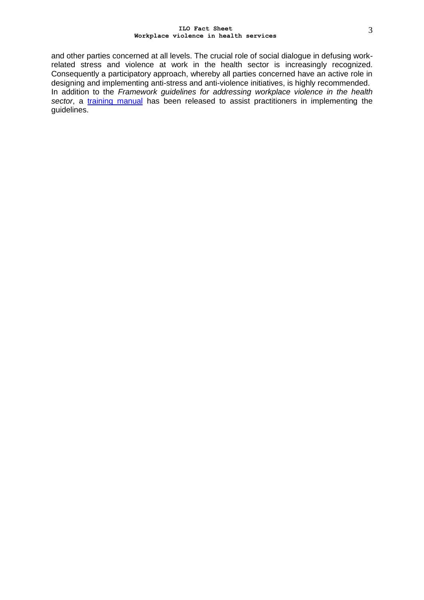#### **ILO Fact Sheet Workplace violence in health services**

and other parties concerned at all levels. The crucial role of social dialogue in defusing workrelated stress and violence at work in the health sector is increasingly recognized. Consequently a participatory approach, whereby all parties concerned have an active role in designing and implementing anti-stress and anti-violence initiatives, is highly recommended. In addition to the Framework guidelines for addressing workplace violence in the health sector, a [training manual](http://www.ilo.org/public/english/dialogue/sector/publ/health/manual.pdf) has been released to assist practitioners in implementing the guidelines.